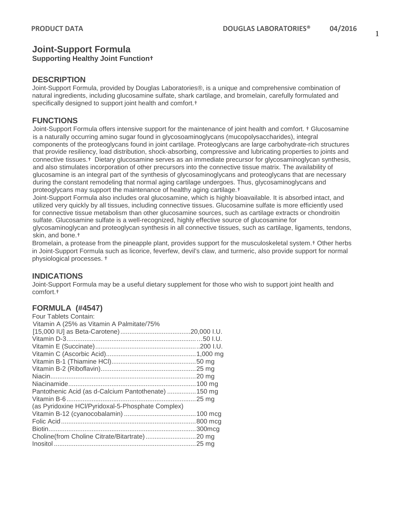# **Joint-Support Formula**

## **Supporting Healthy Joint Function†**

## **DESCRIPTION**

Joint-Support Formula, provided by Douglas Laboratories®, is a unique and comprehensive combination of natural ingredients, including glucosamine sulfate, shark cartilage, and bromelain, carefully formulated and specifically designed to support joint health and comfort.†

## **FUNCTIONS**

Joint-Support Formula offers intensive support for the maintenance of joint health and comfort. † Glucosamine is a naturally occurring amino sugar found in glycosoaminoglycans (mucopolysaccharides), integral components of the proteoglycans found in joint cartilage. Proteoglycans are large carbohydrate-rich structures that provide resiliency, load distribution, shock-absorbing, compressive and lubricating properties to joints and connective tissues.† Dietary glucosamine serves as an immediate precursor for glycosaminoglycan synthesis, and also stimulates incorporation of other precursors into the connective tissue matrix. The availability of glucosamine is an integral part of the synthesis of glycosaminoglycans and proteoglycans that are necessary during the constant remodeling that normal aging cartilage undergoes. Thus, glycosaminoglycans and proteoglycans may support the maintenance of healthy aging cartilage.†

Joint-Support Formula also includes oral glucosamine, which is highly bioavailable. It is absorbed intact, and utilized very quickly by all tissues, including connective tissues. Glucosamine sulfate is more efficiently used for connective tissue metabolism than other glucosamine sources, such as cartilage extracts or chondroitin sulfate. Glucosamine sulfate is a well-recognized, highly effective source of glucosamine for glycosaminoglycan and proteoglycan synthesis in all connective tissues, such as cartilage, ligaments, tendons, skin, and bone.†

Bromelain, a protease from the pineapple plant, provides support for the musculoskeletal system.† Other herbs in Joint-Support Formula such as licorice, feverfew, devil's claw, and turmeric, also provide support for normal physiological processes. †

## **INDICATIONS**

Joint-Support Formula may be a useful dietary supplement for those who wish to support joint health and comfort.†

## **FORMULA (#4547)**

| Four Tablets Contain:                                |  |
|------------------------------------------------------|--|
| Vitamin A (25% as Vitamin A Palmitate/75%            |  |
|                                                      |  |
|                                                      |  |
|                                                      |  |
|                                                      |  |
|                                                      |  |
|                                                      |  |
|                                                      |  |
|                                                      |  |
| Pantothenic Acid (as d-Calcium Pantothenate)  150 mg |  |
|                                                      |  |
| (as Pyridoxine HCl/Pyridoxal-5-Phosphate Complex)    |  |
|                                                      |  |
|                                                      |  |
|                                                      |  |
|                                                      |  |
|                                                      |  |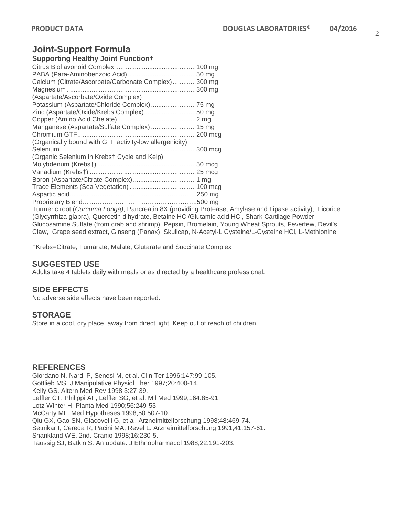## **Joint-Support Formula**

## **Supporting Healthy Joint Function†**

| Calcium (Citrate/Ascorbate/Carbonate Complex)300 mg              |  |
|------------------------------------------------------------------|--|
|                                                                  |  |
| (Aspartate/Ascorbate/Oxide Complex)                              |  |
|                                                                  |  |
| Zinc (Aspartate/Oxide/Krebs Complex)50 mg                        |  |
|                                                                  |  |
| Manganese (Aspartate/Sulfate Complex)  15 mg                     |  |
|                                                                  |  |
| (Organically bound with GTF activity-low allergenicity)          |  |
|                                                                  |  |
| (Organic Selenium in Krebst Cycle and Kelp)                      |  |
|                                                                  |  |
|                                                                  |  |
|                                                                  |  |
|                                                                  |  |
|                                                                  |  |
|                                                                  |  |
| Turmeric root (Curcuma Longa), Pancreatin 8X (providing Protease |  |

, Amylase and Lipase activity), Licorice (Glycyrrhiza glabra), Quercetin dihydrate, Betaine HCl/Glutamic acid HCl, Shark Cartilage Powder, Glucosamine Sulfate (from crab and shrimp), Pepsin, Bromelain, Young Wheat Sprouts, Feverfew, Devil's Claw, Grape seed extract, Ginseng (Panax), Skullcap, N-Acetyl-L Cysteine/L-Cysteine HCl, L-Methionine

†Krebs=Citrate, Fumarate, Malate, Glutarate and Succinate Complex

## **SUGGESTED USE**

Adults take 4 tablets daily with meals or as directed by a healthcare professional.

#### **SIDE EFFECTS**

No adverse side effects have been reported.

#### **STORAGE**

Store in a cool, dry place, away from direct light. Keep out of reach of children.

### **REFERENCES**

Giordano N, Nardi P, Senesi M, et al. Clin Ter 1996;147:99-105. Gottlieb MS. J Manipulative Physiol Ther 1997;20:400-14. Kelly GS. Altern Med Rev 1998;3:27-39. Leffler CT, Philippi AF, Leffler SG, et al. Mil Med 1999;164:85-91. Lotz-Winter H. Planta Med 1990;56:249-53. McCarty MF. Med Hypotheses 1998;50:507-10. Qiu GX, Gao SN, Giacovelli G, et al. Arzneimittelforschung 1998;48:469-74. Setnikar I, Cereda R, Pacini MA, Revel L. Arzneimittelforschung 1991;41:157-61. Shankland WE, 2nd. Cranio 1998;16:230-5. Taussig SJ, Batkin S. An update. J Ethnopharmacol 1988;22:191-203.